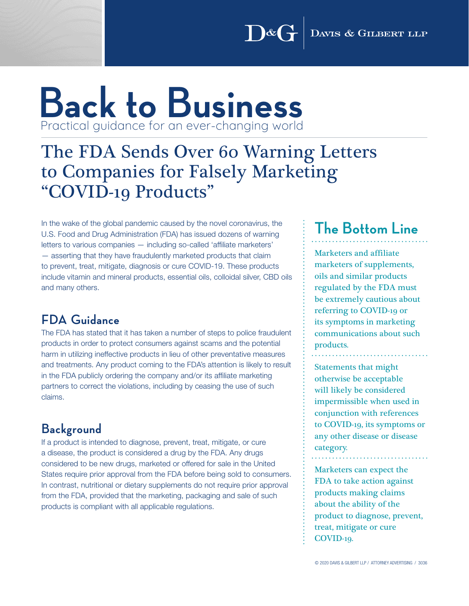# **Back to Business** Practical guidance for an ever-changing world

## The FDA Sends Over 60 Warning Letters to Companies for Falsely Marketing "COVID-19 Products"

In the wake of the global pandemic caused by the novel coronavirus, the U.S. Food and Drug Administration (FDA) has issued dozens of warning letters to various companies — including so-called 'affiliate marketers' — asserting that they have fraudulently marketed products that claim to prevent, treat, mitigate, diagnosis or cure COVID-19. These products include vitamin and mineral products, essential oils, colloidal silver, CBD oils and many others.

### **FDA Guidance**

The FDA has stated that it has taken a number of steps to police fraudulent products in order to protect consumers against scams and the potential harm in utilizing ineffective products in lieu of other preventative measures and treatments. Any product coming to the FDA's attention is likely to result in the FDA publicly ordering the company and/or its affiliate marketing partners to correct the violations, including by ceasing the use of such claims.

### **Background**

If a product is intended to diagnose, prevent, treat, mitigate, or cure a disease, the product is considered a drug by the FDA. Any drugs considered to be new drugs, marketed or offered for sale in the United States require prior approval from the FDA before being sold to consumers. In contrast, nutritional or dietary supplements do not require prior approval from the FDA, provided that the marketing, packaging and sale of such products is compliant with all applicable regulations.

### **The Bottom Line**

Marketers and affiliate marketers of supplements, oils and similar products regulated by the FDA must be extremely cautious about referring to COVID-19 or its symptoms in marketing communications about such products.

Statements that might otherwise be acceptable will likely be considered impermissible when used in conjunction with references to COVID-19, its symptoms or any other disease or disease category.

Marketers can expect the FDA to take action against products making claims about the ability of the product to diagnose, prevent, treat, mitigate or cure COVID-19.